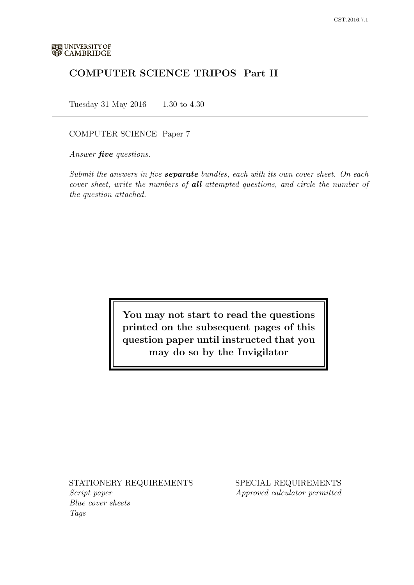# COMPUTER SCIENCE TRIPOS Part II

Tuesday 31 May 2016 1.30 to 4.30

COMPUTER SCIENCE Paper 7

Answer *five* questions.

Submit the answers in five **separate** bundles, each with its own cover sheet. On each cover sheet, write the numbers of **all** attempted questions, and circle the number of the question attached.

> You may not start to read the questions printed on the subsequent pages of this question paper until instructed that you may do so by the Invigilator

STATIONERY REQUIREMENTS Script paper Blue cover sheets

Tags

SPECIAL REQUIREMENTS Approved calculator permitted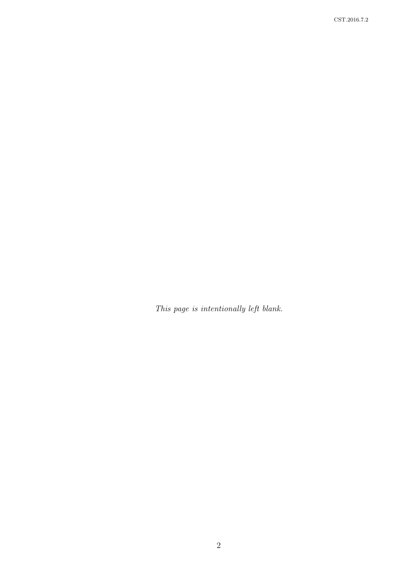This page is intentionally left blank.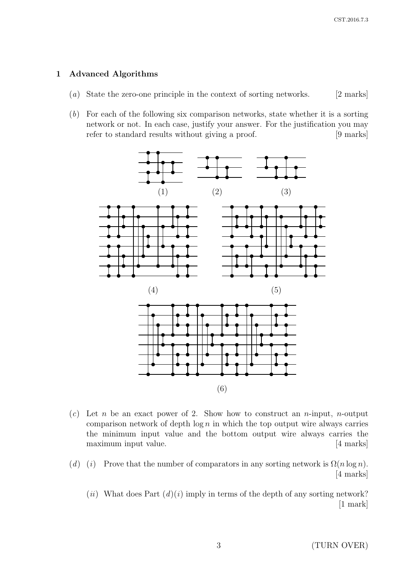## 1 Advanced Algorithms

- (a) State the zero-one principle in the context of sorting networks. [2 marks]
- (b) For each of the following six comparison networks, state whether it is a sorting network or not. In each case, justify your answer. For the justification you may refer to standard results without giving a proof. [9 marks]



- (c) Let n be an exact power of 2. Show how to construct an n-input, n-output comparison network of depth  $\log n$  in which the top output wire always carries the minimum input value and the bottom output wire always carries the maximum input value. [4 marks]
- (d) (i) Prove that the number of comparators in any sorting network is  $\Omega(n \log n)$ . [4 marks]
	- (*ii*) What does Part  $(d)(i)$  imply in terms of the depth of any sorting network? [1 mark]

3 (TURN OVER)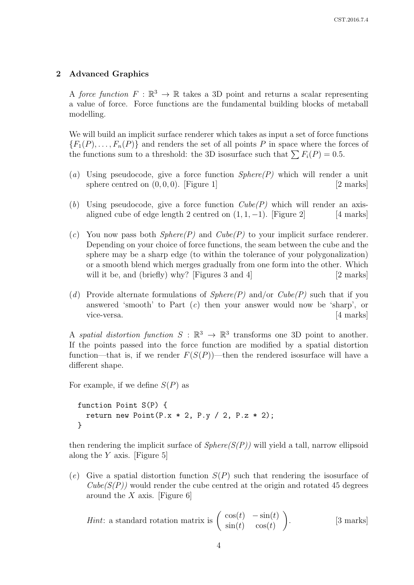#### 2 Advanced Graphics

A force function  $F : \mathbb{R}^3 \to \mathbb{R}$  takes a 3D point and returns a scalar representing a value of force. Force functions are the fundamental building blocks of metaball modelling.

We will build an implicit surface renderer which takes as input a set of force functions  ${F_1(P), \ldots, F_n(P)}$  and renders the set of all points P in space where the forces of the functions sum to a threshold: the 3D isosurface such that  $\sum F_i(P) = 0.5$ .

- (a) Using pseudocode, give a force function  $Sphere(P)$  which will render a unit sphere centred on  $(0, 0, 0)$ . [Figure 1] [2 marks]
- (b) Using pseudocode, give a force function  $Cube(P)$  which will render an axisaligned cube of edge length 2 centred on  $(1, 1, -1)$ . [Figure 2] [4 marks]
- (c) You now pass both  $Sphere(P)$  and  $Cube(P)$  to your implicit surface renderer. Depending on your choice of force functions, the seam between the cube and the sphere may be a sharp edge (to within the tolerance of your polygonalization) or a smooth blend which merges gradually from one form into the other. Which will it be, and (briefly) why? [Figures 3 and 4]  $[2 \text{ marks}]$
- (d) Provide alternate formulations of  $Sphere(P)$  and/or  $Cube(P)$  such that if you answered 'smooth' to Part (c) then your answer would now be 'sharp', or vice-versa. [4 marks]

A spatial distortion function  $S : \mathbb{R}^3 \to \mathbb{R}^3$  transforms one 3D point to another. If the points passed into the force function are modified by a spatial distortion function—that is, if we render  $F(S(P))$ —then the rendered isosurface will have a different shape.

For example, if we define  $S(P)$  as

```
function Point S(P) {
  return new Point(P.x * 2, P.y / 2, P.z * 2);
}
```
then rendering the implicit surface of  $Sphere(S(P))$  will yield a tall, narrow ellipsoid along the  $Y$  axis. [Figure 5]

(e) Give a spatial distortion function  $S(P)$  such that rendering the isosurface of  $Cube(S(P))$  would render the cube centred at the origin and rotated 45 degrees around the  $X$  axis. [Figure 6]

*Hint*: a standard rotation matrix is 
$$
\begin{pmatrix} \cos(t) & -\sin(t) \\ \sin(t) & \cos(t) \end{pmatrix}
$$
. [3 marks]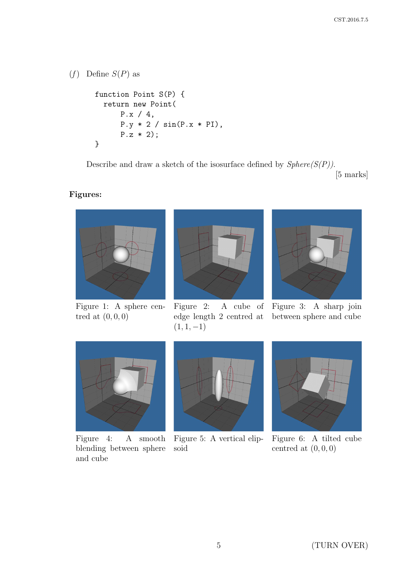$(f)$  Define  $S(P)$  as

```
function Point S(P) {
  return new Point(
      P.x / 4,
      P.y * 2 / sin(P.x * PI),
      P.z * 2);}
```
Describe and draw a sketch of the isosurface defined by  $Sphere(S(P))$ .

[5 marks]

# Figures:



Figure 1: A sphere centred at  $(0, 0, 0)$ 



Figure 2: A cube of edge length 2 centred at  $(1, 1, -1)$ 



Figure 3: A sharp join between sphere and cube



Figure 4: A smooth blending between sphere and cube



Figure 5: A vertical elipsoid



Figure 6: A tilted cube centred at  $(0, 0, 0)$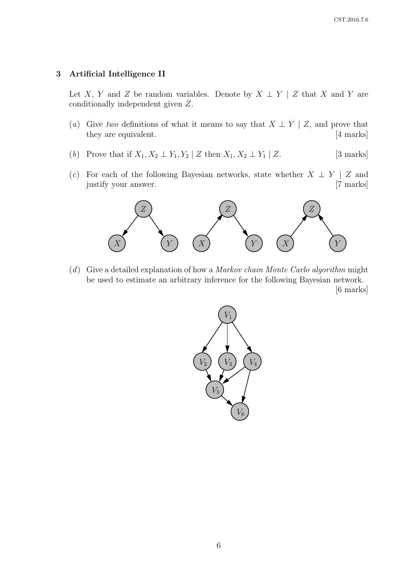#### 3 Artificial Intelligence II

Let X, Y and Z be random variables. Denote by  $X \perp Y \mid Z$  that X and Y are conditionally independent given Z.

- (a) Give two definitions of what it means to say that  $X \perp Y \mid Z$ , and prove that they are equivalent. [4 marks]
- (b) Prove that if  $X_1, X_2 \perp Y_1, Y_2 \mid Z$  then  $X_1, X_2 \perp Y_1 \mid Z$ . [3 marks]
- (c) For each of the following Bayesian networks, state whether  $X \perp Y \mid Z$  and justify your answer. [7 marks]



(d) Give a detailed explanation of how a Markov chain Monte Carlo algorithm might be used to estimate an arbitrary inference for the following Bayesian network. [6 marks]

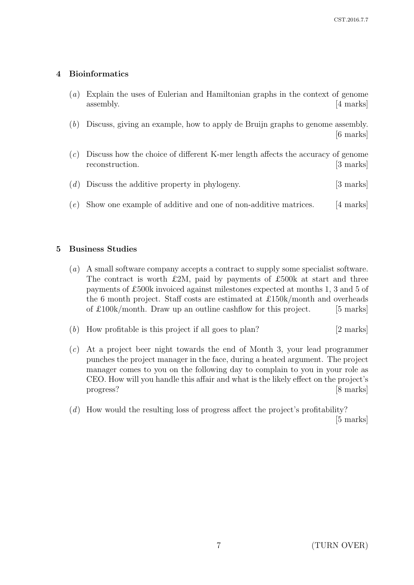# 4 Bioinformatics

- (a) Explain the uses of Eulerian and Hamiltonian graphs in the context of genome  $[4 \text{ marks}]$
- (b) Discuss, giving an example, how to apply de Bruijn graphs to genome assembly. [6 marks]
- (c) Discuss how the choice of different K-mer length affects the accuracy of genome reconstruction. [3 marks]
- (d) Discuss the additive property in phylogeny. [3 marks]
- $(e)$  Show one example of additive and one of non-additive matrices. [4 marks]

# 5 Business Studies

- (a) A small software company accepts a contract to supply some specialist software. The contract is worth £2M, paid by payments of £500k at start and three payments of £500k invoiced against milestones expected at months 1, 3 and 5 of the 6 month project. Staff costs are estimated at £150k/month and overheads of  $\pounds100k/m$  onth. Draw up an outline cashflow for this project. [5 marks]
- (b) How profitable is this project if all goes to plan? [2 marks]
- (c) At a project beer night towards the end of Month 3, your lead programmer punches the project manager in the face, during a heated argument. The project manager comes to you on the following day to complain to you in your role as CEO. How will you handle this affair and what is the likely effect on the project's progress? [8 marks]
- (d) How would the resulting loss of progress affect the project's profitability? [5 marks]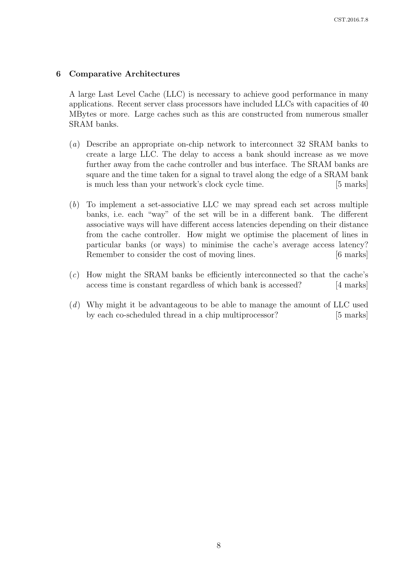#### 6 Comparative Architectures

A large Last Level Cache (LLC) is necessary to achieve good performance in many applications. Recent server class processors have included LLCs with capacities of 40 MBytes or more. Large caches such as this are constructed from numerous smaller SRAM banks.

- (a) Describe an appropriate on-chip network to interconnect 32 SRAM banks to create a large LLC. The delay to access a bank should increase as we move further away from the cache controller and bus interface. The SRAM banks are square and the time taken for a signal to travel along the edge of a SRAM bank is much less than your network's clock cycle time. [5 marks]
- (b) To implement a set-associative LLC we may spread each set across multiple banks, i.e. each "way" of the set will be in a different bank. The different associative ways will have different access latencies depending on their distance from the cache controller. How might we optimise the placement of lines in particular banks (or ways) to minimise the cache's average access latency? Remember to consider the cost of moving lines. [6 marks]
- (c) How might the SRAM banks be efficiently interconnected so that the cache's access time is constant regardless of which bank is accessed? [4 marks]
- (d) Why might it be advantageous to be able to manage the amount of LLC used by each co-scheduled thread in a chip multiprocessor? [5 marks]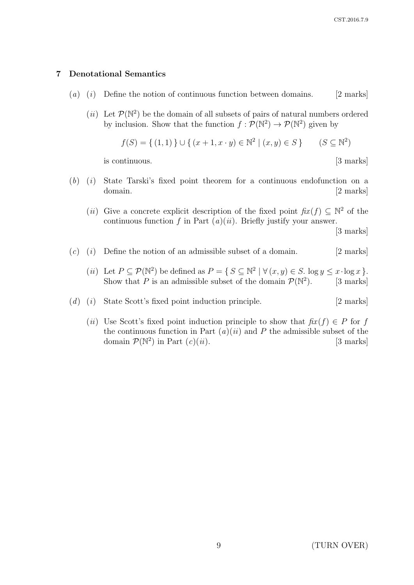#### 7 Denotational Semantics

- (a) (i) Define the notion of continuous function between domains. [2 marks]
	- (*ii*) Let  $\mathcal{P}(\mathbb{N}^2)$  be the domain of all subsets of pairs of natural numbers ordered by inclusion. Show that the function  $f : \mathcal{P}(\mathbb{N}^2) \to \mathcal{P}(\mathbb{N}^2)$  given by

$$
f(S) = \{ (1,1) \} \cup \{ (x+1, x \cdot y) \in \mathbb{N}^2 \mid (x,y) \in S \}
$$
 (S \subseteq \mathbb{N}^2)

is continuous. [3 marks]

- $(b)$   $(i)$  State Tarski's fixed point theorem for a continuous endofunction on a domain. [2 marks]
	- (ii) Give a concrete explicit description of the fixed point  $\mathit{fix}(f) \subseteq \mathbb{N}^2$  of the continuous function f in Part  $(a)(ii)$ . Briefly justify your answer.

[3 marks]

- $(c)$  (i) Define the notion of an admissible subset of a domain. [2 marks]
	- (*ii*) Let  $P \subseteq \mathcal{P}(\mathbb{N}^2)$  be defined as  $P = \{ S \subseteq \mathbb{N}^2 \mid \forall (x, y) \in S. \log y \leq x \cdot \log x \}.$ Show that P is an admissible subset of the domain  $\mathcal{P}(\mathbb{N}^2)$ ). [3 marks]
- (d) (i) State Scott's fixed point induction principle.  $[2 \text{ marks}]$ 
	- (ii) Use Scott's fixed point induction principle to show that  $\hat{h}x(f) \in P$  for f the continuous function in Part  $(a)(ii)$  and P the admissible subset of the domain  $\mathcal{P}(\mathbb{N}^2)$  in Part  $(c)(ii)$ . [3 marks]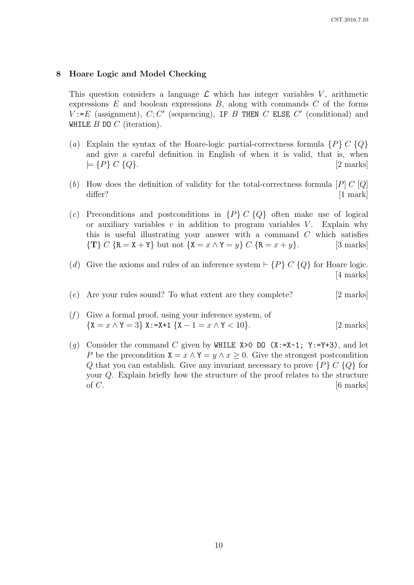#### 8 Hoare Logic and Model Checking

This question considers a language  $\mathcal L$  which has integer variables V, arithmetic expressions  $E$  and boolean expressions  $B$ , along with commands  $C$  of the forms  $V := E$  (assignment),  $C: C'$  (sequencing), IF B THEN C ELSE C' (conditional) and WHILE  $B$  DO  $C$  (iteration).

- (a) Explain the syntax of the Hoare-logic partial-correctness formula  $\{P\} C \{Q\}$ and give a careful definition in English of when it is valid, that is, when  $\models \{P\} \ C \ \{Q\}.$  [2 marks]
- (b) How does the definition of validity for the total-correctness formula  $[P] C [Q]$ differ? [1 mark]
- (c) Preconditions and postconditions in  $\{P\} C \{Q\}$  often make use of logical or auxiliary variables  $v$  in addition to program variables  $V$ . Explain why this is useful illustrating your answer with a command  $C$  which satisfies  ${\rm T} C \text{ R = X + Y}$  but not  ${\rm X = x \wedge Y = y} C {\rm R = x + y}.$  [3 marks]
- (d) Give the axioms and rules of an inference system  $\vdash \{P\} C \{Q\}$  for Hoare logic. [4 marks]
- $(e)$  Are your rules sound? To what extent are they complete? [2 marks]
- $(f)$  Give a formal proof, using your inference system, of  ${X = x \land Y = 3} X: = X + 1 {X - 1 = x \land Y < 10}.$  [2 marks]
- (g) Consider the command C given by WHILE X>0 DO (X:=X-1; Y:=Y+3), and let P be the precondition  $X = x \wedge Y = y \wedge x \geq 0$ . Give the strongest postcondition Q that you can establish. Give any invariant necessary to prove  $\{P\} C \{Q\}$  for your Q. Explain briefly how the structure of the proof relates to the structure of  $C$ .  $[6 \text{ marks}]$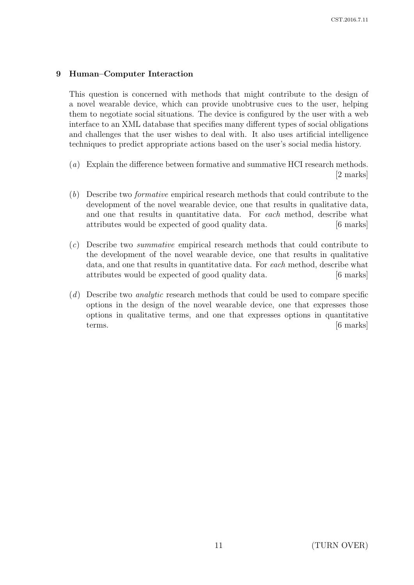# 9 Human–Computer Interaction

This question is concerned with methods that might contribute to the design of a novel wearable device, which can provide unobtrusive cues to the user, helping them to negotiate social situations. The device is configured by the user with a web interface to an XML database that specifies many different types of social obligations and challenges that the user wishes to deal with. It also uses artificial intelligence techniques to predict appropriate actions based on the user's social media history.

- (a) Explain the difference between formative and summative HCI research methods. [2 marks]
- (b) Describe two formative empirical research methods that could contribute to the development of the novel wearable device, one that results in qualitative data, and one that results in quantitative data. For each method, describe what attributes would be expected of good quality data. [6 marks]
- (c) Describe two summative empirical research methods that could contribute to the development of the novel wearable device, one that results in qualitative data, and one that results in quantitative data. For each method, describe what attributes would be expected of good quality data. [6 marks]
- (d) Describe two analytic research methods that could be used to compare specific options in the design of the novel wearable device, one that expresses those options in qualitative terms, and one that expresses options in quantitative terms. [6 marks]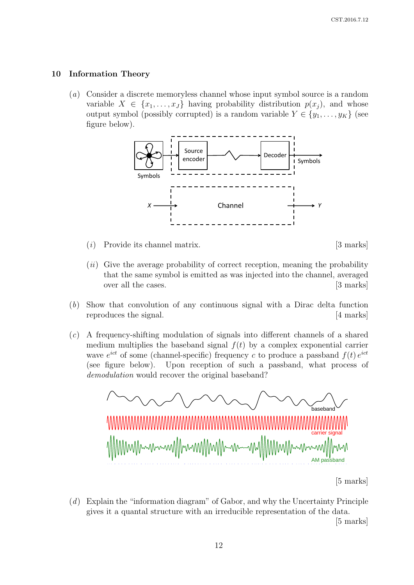#### 10 Information Theory

(a) Consider a discrete memoryless channel whose input symbol source is a random variable  $X \in \{x_1, \ldots, x_J\}$  having probability distribution  $p(x_i)$ , and whose output symbol (possibly corrupted) is a random variable  $Y \in \{y_1, \ldots, y_K\}$  (see figure below).



(*i*) Provide its channel matrix. [3 marks]

- $(ii)$  Give the average probability of correct reception, meaning the probability that the same symbol is emitted as was injected into the channel, averaged over all the cases. [3 marks]
- (b) Show that convolution of any continuous signal with a Dirac delta function reproduces the signal. [4 marks]
- (c) A frequency-shifting modulation of signals into different channels of a shared medium multiplies the baseband signal  $f(t)$  by a complex exponential carrier wave  $e^{ict}$  of some (channel-specific) frequency c to produce a passband  $f(t)e^{ict}$ (see figure below). Upon reception of such a passband, what process of demodulation would recover the original baseband?



 $[5 \text{ marks}]$ 

(d) Explain the "information diagram" of Gabor, and why the Uncertainty Principle gives it a quantal structure with an irreducible representation of the data. [5 marks]

12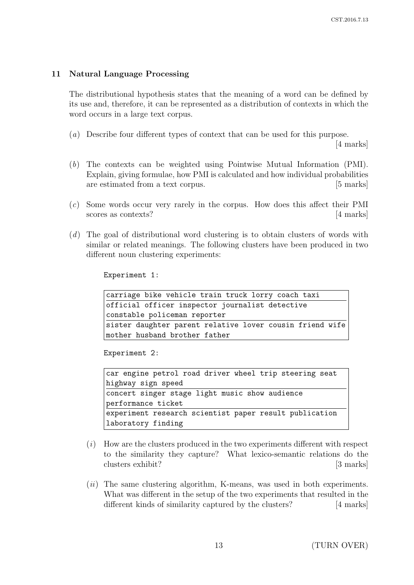# 11 Natural Language Processing

The distributional hypothesis states that the meaning of a word can be defined by its use and, therefore, it can be represented as a distribution of contexts in which the word occurs in a large text corpus.

(a) Describe four different types of context that can be used for this purpose.

[4 marks]

- (b) The contexts can be weighted using Pointwise Mutual Information (PMI). Explain, giving formulae, how PMI is calculated and how individual probabilities are estimated from a text corpus. [5 marks]
- (c) Some words occur very rarely in the corpus. How does this affect their PMI scores as contexts? [4 marks]
- (d) The goal of distributional word clustering is to obtain clusters of words with similar or related meanings. The following clusters have been produced in two different noun clustering experiments:

Experiment 1:

| carriage bike vehicle train truck lorry coach taxi       |
|----------------------------------------------------------|
| official officer inspector journalist detective          |
| constable policeman reporter                             |
| sister daughter parent relative lover cousin friend wife |
| mother husband brother father                            |

Experiment 2:

```
car engine petrol road driver wheel trip steering seat
highway sign speed
concert singer stage light music show audience
performance ticket
experiment research scientist paper result publication
laboratory finding
```
- (i) How are the clusters produced in the two experiments different with respect to the similarity they capture? What lexico-semantic relations do the clusters exhibit? [3 marks]
- (*ii*) The same clustering algorithm, K-means, was used in both experiments. What was different in the setup of the two experiments that resulted in the different kinds of similarity captured by the clusters? [4 marks]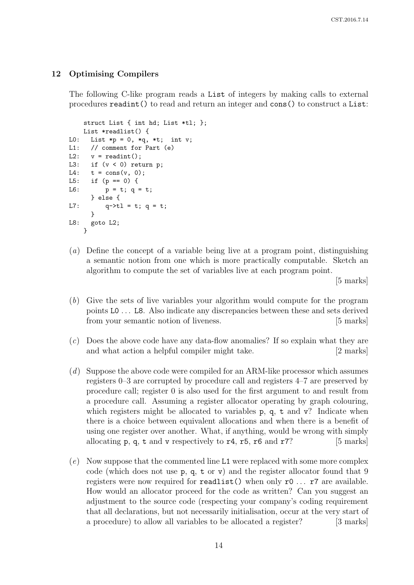#### 12 Optimising Compilers

The following C-like program reads a List of integers by making calls to external procedures readint() to read and return an integer and cons() to construct a List:

```
struct List { int hd; List *tl; };
   List *readlist() {
L0: List *p = 0, *q, *t; int v;L1: // comment for Part (e)
L2: v = \text{readint}();
L3: if (v < 0) return p;
L4: t = const(v, 0);
L5: if (p == 0) {
L6: p = t; q = t;} else {
L7: q - > t1 = t; q = t;}
L8: goto L2;
   }
```
(a) Define the concept of a variable being live at a program point, distinguishing a semantic notion from one which is more practically computable. Sketch an algorithm to compute the set of variables live at each program point.

[5 marks]

- (b) Give the sets of live variables your algorithm would compute for the program points L0 . . . L8. Also indicate any discrepancies between these and sets derived from your semantic notion of liveness. [5 marks]
- (c) Does the above code have any data-flow anomalies? If so explain what they are and what action a helpful compiler might take. [2 marks]
- (d) Suppose the above code were compiled for an ARM-like processor which assumes registers 0–3 are corrupted by procedure call and registers 4–7 are preserved by procedure call; register 0 is also used for the first argument to and result from a procedure call. Assuming a register allocator operating by graph colouring, which registers might be allocated to variables p, q, t and v? Indicate when there is a choice between equivalent allocations and when there is a benefit of using one register over another. What, if anything, would be wrong with simply allocating p, q, t and v respectively to  $r4$ ,  $r5$ ,  $r6$  and  $r7$ ? [5 marks]
- (e) Now suppose that the commented line L1 were replaced with some more complex code (which does not use p, q, t or v) and the register allocator found that 9 registers were now required for readlist() when only r0 ... r7 are available. How would an allocator proceed for the code as written? Can you suggest an adjustment to the source code (respecting your company's coding requirement that all declarations, but not necessarily initialisation, occur at the very start of a procedure) to allow all variables to be allocated a register? [3 marks]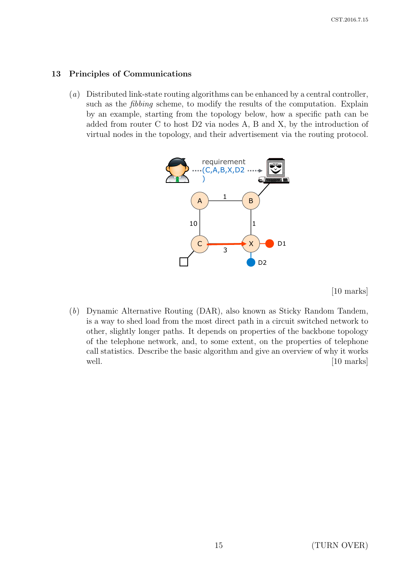## 13 Principles of Communications

(a) Distributed link-state routing algorithms can be enhanced by a central controller, such as the *fibbing* scheme, to modify the results of the computation. Explain by an example, starting from the topology below, how a specific path can be added from router C to host D2 via nodes A, B and X, by the introduction of virtual nodes in the topology, and their advertisement via the routing protocol.



[10 marks]

(b) Dynamic Alternative Routing (DAR), also known as Sticky Random Tandem, is a way to shed load from the most direct path in a circuit switched network to other, slightly longer paths. It depends on properties of the backbone topology of the telephone network, and, to some extent, on the properties of telephone call statistics. Describe the basic algorithm and give an overview of why it works well.  $[10 \text{ marks}]$